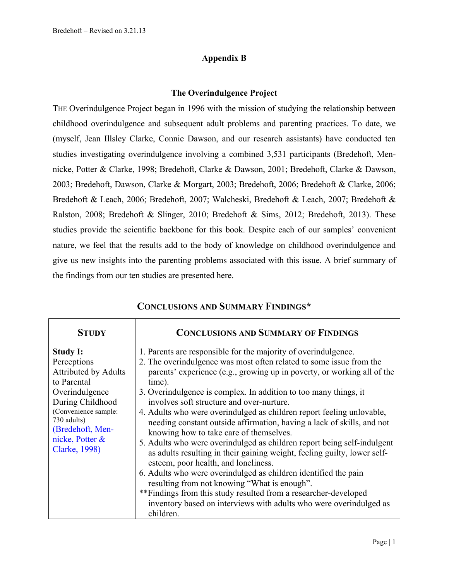## **Appendix B**

## **The Overindulgence Project**

THE Overindulgence Project began in 1996 with the mission of studying the relationship between childhood overindulgence and subsequent adult problems and parenting practices. To date, we (myself, Jean Illsley Clarke, Connie Dawson, and our research assistants) have conducted ten studies investigating overindulgence involving a combined 3,531 participants (Bredehoft, Mennicke, Potter & Clarke, 1998; Bredehoft, Clarke & Dawson, 2001; Bredehoft, Clarke & Dawson, 2003; Bredehoft, Dawson, Clarke & Morgart, 2003; Bredehoft, 2006; Bredehoft & Clarke, 2006; Bredehoft & Leach, 2006; Bredehoft, 2007; Walcheski, Bredehoft & Leach, 2007; Bredehoft & Ralston, 2008; Bredehoft & Slinger, 2010; Bredehoft & Sims, 2012; Bredehoft, 2013). These studies provide the scientific backbone for this book. Despite each of our samples' convenient nature, we feel that the results add to the body of knowledge on childhood overindulgence and give us new insights into the parenting problems associated with this issue. A brief summary of the findings from our ten studies are presented here.

| <b>STUDY</b>                                                                                                                                                                                                      | <b>CONCLUSIONS AND SUMMARY OF FINDINGS</b>                                                                                                                                                                                                                                                                                                                                                                                                                                                                                                                                                                                                                                                                                                                                                                                                                                                                                                                                                                         |
|-------------------------------------------------------------------------------------------------------------------------------------------------------------------------------------------------------------------|--------------------------------------------------------------------------------------------------------------------------------------------------------------------------------------------------------------------------------------------------------------------------------------------------------------------------------------------------------------------------------------------------------------------------------------------------------------------------------------------------------------------------------------------------------------------------------------------------------------------------------------------------------------------------------------------------------------------------------------------------------------------------------------------------------------------------------------------------------------------------------------------------------------------------------------------------------------------------------------------------------------------|
| <b>Study I:</b><br>Perceptions<br><b>Attributed by Adults</b><br>to Parental<br>Overindulgence<br>During Childhood<br>(Convenience sample:<br>730 adults)<br>(Bredehoft, Men-<br>nicke, Potter &<br>Clarke, 1998) | 1. Parents are responsible for the majority of overindulgence.<br>2. The overindulgence was most often related to some issue from the<br>parents' experience (e.g., growing up in poverty, or working all of the<br>time).<br>3. Overindulgence is complex. In addition to too many things, it<br>involves soft structure and over-nurture.<br>4. Adults who were overindulged as children report feeling unlovable,<br>needing constant outside affirmation, having a lack of skills, and not<br>knowing how to take care of themselves.<br>5. Adults who were overindulged as children report being self-indulgent<br>as adults resulting in their gaining weight, feeling guilty, lower self-<br>esteem, poor health, and loneliness.<br>6. Adults who were overindulged as children identified the pain<br>resulting from not knowing "What is enough".<br>** Findings from this study resulted from a researcher-developed<br>inventory based on interviews with adults who were overindulged as<br>children. |

## **CONCLUSIONS AND SUMMARY FINDINGS\***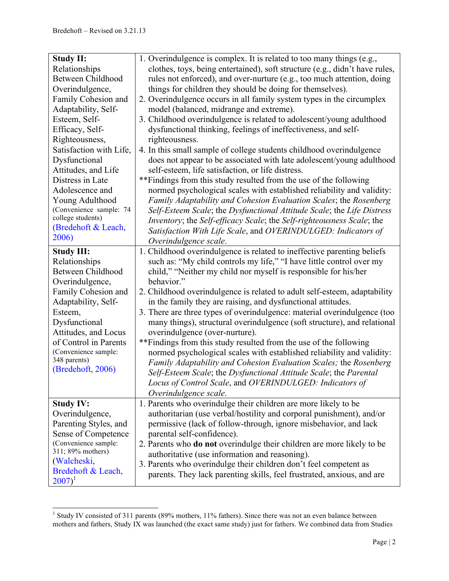| <b>Study II:</b>        | 1. Overindulgence is complex. It is related to too many things (e.g.,         |
|-------------------------|-------------------------------------------------------------------------------|
| Relationships           | clothes, toys, being entertained), soft structure (e.g., didn't have rules,   |
| Between Childhood       | rules not enforced), and over-nurture (e.g., too much attention, doing        |
| Overindulgence,         | things for children they should be doing for themselves).                     |
| Family Cohesion and     | 2. Overindulgence occurs in all family system types in the circumplex         |
| Adaptability, Self-     | model (balanced, midrange and extreme).                                       |
| Esteem, Self-           | 3. Childhood overindulgence is related to adolescent/young adulthood          |
| Efficacy, Self-         | dysfunctional thinking, feelings of ineffectiveness, and self-                |
| Righteousness,          | righteousness.                                                                |
| Satisfaction with Life, | 4. In this small sample of college students childhood overindulgence          |
| Dysfunctional           | does not appear to be associated with late adolescent/young adulthood         |
| Attitudes, and Life     | self-esteem, life satisfaction, or life distress.                             |
| Distress in Late        | ** Findings from this study resulted from the use of the following            |
| Adolescence and         | normed psychological scales with established reliability and validity:        |
| Young Adulthood         | Family Adaptability and Cohesion Evaluation Scales; the Rosenberg             |
| (Convenience sample: 74 | Self-Esteem Scale; the Dysfunctional Attitude Scale; the Life Distress        |
| college students)       | Inventory; the Self-efficacy Scale; the Self-righteousness Scale; the         |
| (Bredehoft & Leach,     | Satisfaction With Life Scale, and OVERINDULGED: Indicators of                 |
| 2006)                   | Overindulgence scale.                                                         |
| <b>Study III:</b>       | 1. Childhood overindulgence is related to ineffective parenting beliefs       |
| Relationships           | such as: "My child controls my life," "I have little control over my          |
| Between Childhood       | child," "Neither my child nor myself is responsible for his/her               |
| Overindulgence,         | behavior."                                                                    |
| Family Cohesion and     | 2. Childhood overindulgence is related to adult self-esteem, adaptability     |
| Adaptability, Self-     | in the family they are raising, and dysfunctional attitudes.                  |
| Esteem,                 | 3. There are three types of overindulgence: material overindulgence (too      |
| Dysfunctional           | many things), structural overindulgence (soft structure), and relational      |
| Attitudes, and Locus    | overindulgence (over-nurture).                                                |
| of Control in Parents   | ** Findings from this study resulted from the use of the following            |
| (Convenience sample:    | normed psychological scales with established reliability and validity:        |
| 348 parents)            | Family Adaptability and Cohesion Evaluation Scales; the Rosenberg             |
| (Bredehoft, 2006)       | Self-Esteem Scale; the Dysfunctional Attitude Scale; the Parental             |
|                         | Locus of Control Scale, and OVERINDULGED: Indicators of                       |
|                         | Overindulgence scale.                                                         |
| <b>Study IV:</b>        | 1. Parents who overindulge their children are more likely to be               |
| Overindulgence,         | authoritarian (use verbal/hostility and corporal punishment), and/or          |
| Parenting Styles, and   | permissive (lack of follow-through, ignore misbehavior, and lack              |
| Sense of Competence     | parental self-confidence).                                                    |
| (Convenience sample:    | 2. Parents who <b>do not</b> overindulge their children are more likely to be |
| 311; 89% mothers)       | authoritative (use information and reasoning).                                |
| (Walcheski,             | 3. Parents who overindulge their children don't feel competent as             |
| Bredehoft & Leach,      | parents. They lack parenting skills, feel frustrated, anxious, and are        |
| $2007)^1$               |                                                                               |

<sup>&</sup>lt;sup>1</sup> Study IV consisted of 311 parents (89% mothers, 11% fathers). Since there was not an even balance between mothers and fathers, Study IX was launched (the exact same study) just for fathers. We combined data from Studies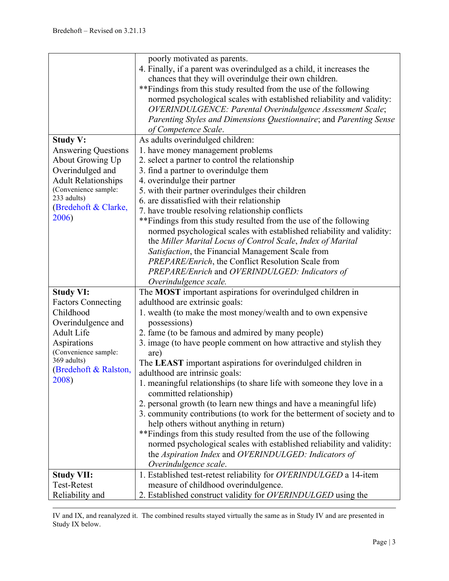1

|                            | poorly motivated as parents.                                             |
|----------------------------|--------------------------------------------------------------------------|
|                            | 4. Finally, if a parent was overindulged as a child, it increases the    |
|                            | chances that they will overindulge their own children.                   |
|                            | ** Findings from this study resulted from the use of the following       |
|                            |                                                                          |
|                            | normed psychological scales with established reliability and validity:   |
|                            | OVERINDULGENCE: Parental Overindulgence Assessment Scale;                |
|                            | Parenting Styles and Dimensions Questionnaire; and Parenting Sense       |
|                            | of Competence Scale.                                                     |
| <b>Study V:</b>            | As adults overindulged children:                                         |
| <b>Answering Questions</b> | 1. have money management problems                                        |
| <b>About Growing Up</b>    | 2. select a partner to control the relationship                          |
| Overindulged and           | 3. find a partner to overindulge them                                    |
| <b>Adult Relationships</b> | 4. overindulge their partner                                             |
| (Convenience sample:       | 5. with their partner overindulges their children                        |
| 233 adults)                | 6. are dissatisfied with their relationship                              |
| (Bredehoft & Clarke,       | 7. have trouble resolving relationship conflicts                         |
| 2006)                      | ** Findings from this study resulted from the use of the following       |
|                            | normed psychological scales with established reliability and validity:   |
|                            | the Miller Marital Locus of Control Scale, Index of Marital              |
|                            | Satisfaction, the Financial Management Scale from                        |
|                            |                                                                          |
|                            | PREPARE/Enrich, the Conflict Resolution Scale from                       |
|                            | PREPARE/Enrich and OVERINDULGED: Indicators of                           |
|                            | Overindulgence scale.                                                    |
| <b>Study VI:</b>           | The MOST important aspirations for overindulged children in              |
| <b>Factors Connecting</b>  | adulthood are extrinsic goals:                                           |
| Childhood                  | 1. wealth (to make the most money/wealth and to own expensive            |
| Overindulgence and         | possessions)                                                             |
| <b>Adult Life</b>          | 2. fame (to be famous and admired by many people)                        |
| Aspirations                | 3. image (to have people comment on how attractive and stylish they      |
| (Convenience sample:       | are)                                                                     |
| 369 adults)                | The LEAST important aspirations for overindulged children in             |
| (Bredehoft & Ralston,      | adulthood are intrinsic goals:                                           |
| 2008)                      | 1. meaningful relationships (to share life with someone they love in a   |
|                            | committed relationship)                                                  |
|                            | 2. personal growth (to learn new things and have a meaningful life)      |
|                            | 3. community contributions (to work for the betterment of society and to |
|                            | help others without anything in return)                                  |
|                            | ** Findings from this study resulted from the use of the following       |
|                            | normed psychological scales with established reliability and validity:   |
|                            | the Aspiration Index and OVERINDULGED: Indicators of                     |
|                            |                                                                          |
|                            | Overindulgence scale.                                                    |
| <b>Study VII:</b>          | 1. Established test-retest reliability for OVERINDULGED a 14-item        |
| <b>Test-Retest</b>         | measure of childhood overindulgence.                                     |
| Reliability and            | 2. Established construct validity for OVERINDULGED using the             |

IV and IX, and reanalyzed it. The combined results stayed virtually the same as in Study IV and are presented in Study IX below.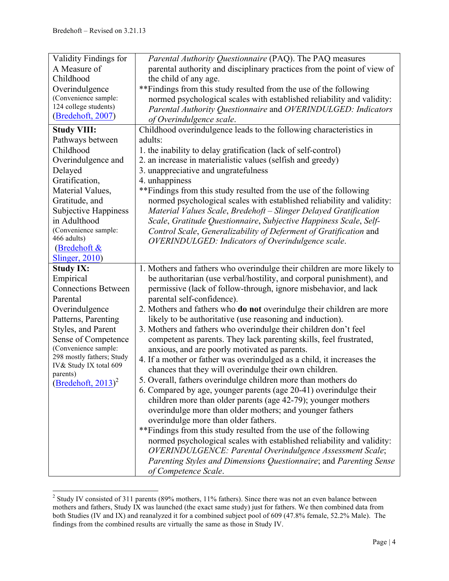| Validity Findings for              | Parental Authority Questionnaire (PAQ). The PAQ measures                                   |
|------------------------------------|--------------------------------------------------------------------------------------------|
| A Measure of                       | parental authority and disciplinary practices from the point of view of                    |
| Childhood                          | the child of any age.                                                                      |
| Overindulgence                     | ** Findings from this study resulted from the use of the following                         |
| (Convenience sample:               | normed psychological scales with established reliability and validity:                     |
| 124 college students)              | Parental Authority Questionnaire and OVERINDULGED: Indicators                              |
| (Bredehoft, 2007)                  | of Overindulgence scale.                                                                   |
| <b>Study VIII:</b>                 | Childhood overindulgence leads to the following characteristics in                         |
| Pathways between                   | adults:                                                                                    |
| Childhood                          | 1. the inability to delay gratification (lack of self-control)                             |
| Overindulgence and                 | 2. an increase in materialistic values (selfish and greedy)                                |
| Delayed                            | 3. unappreciative and ungratefulness                                                       |
| Gratification,                     | 4. unhappiness                                                                             |
| Material Values,                   | ** Findings from this study resulted from the use of the following                         |
| Gratitude, and                     | normed psychological scales with established reliability and validity:                     |
| <b>Subjective Happiness</b>        | Material Values Scale, Bredehoft - Slinger Delayed Gratification                           |
| in Adulthood                       | Scale, Gratitude Questionnaire, Subjective Happiness Scale, Self-                          |
| (Convenience sample:               | Control Scale, Generalizability of Deferment of Gratification and                          |
| 466 adults)                        | OVERINDULGED: Indicators of Overindulgence scale.                                          |
| (Bredehoft &                       |                                                                                            |
| <b>Slinger</b> , 2010)             |                                                                                            |
|                                    |                                                                                            |
| <b>Study IX:</b>                   | 1. Mothers and fathers who overindulge their children are more likely to                   |
| Empirical                          | be authoritarian (use verbal/hostility, and corporal punishment), and                      |
| <b>Connections Between</b>         | permissive (lack of follow-through, ignore misbehavior, and lack                           |
| Parental                           | parental self-confidence).                                                                 |
| Overindulgence                     | 2. Mothers and fathers who <b>do not</b> overindulge their children are more               |
| Patterns, Parenting                | likely to be authoritative (use reasoning and induction).                                  |
| Styles, and Parent                 | 3. Mothers and fathers who overindulge their children don't feel                           |
| Sense of Competence                | competent as parents. They lack parenting skills, feel frustrated,                         |
| (Convenience sample:               | anxious, and are poorly motivated as parents.                                              |
| 298 mostly fathers; Study          | 4. If a mother or father was overindulged as a child, it increases the                     |
| IV& Study IX total 609<br>parents) | chances that they will overindulge their own children.                                     |
|                                    | 5. Overall, fathers overindulge children more than mothers do                              |
| $(Bredehoft, 2013)^2$              | 6. Compared by age, younger parents (age 20-41) overindulge their                          |
|                                    | children more than older parents (age 42-79); younger mothers                              |
|                                    | overindulge more than older mothers; and younger fathers                                   |
|                                    | overindulge more than older fathers.                                                       |
|                                    | ** Findings from this study resulted from the use of the following                         |
|                                    | normed psychological scales with established reliability and validity:                     |
|                                    | OVERINDULGENCE: Parental Overindulgence Assessment Scale;                                  |
|                                    | Parenting Styles and Dimensions Questionnaire; and Parenting Sense<br>of Competence Scale. |

<sup>&</sup>lt;sup>2</sup> Study IV consisted of 311 parents (89% mothers, 11% fathers). Since there was not an even balance between mothers and fathers, Study IX was launched (the exact same study) just for fathers. We then combined data from both Studies (IV and IX) and reanalyzed it for a combined subject pool of 609 (47.8% female, 52.2% Male). The findings from the combined results are virtually the same as those in Study IV.